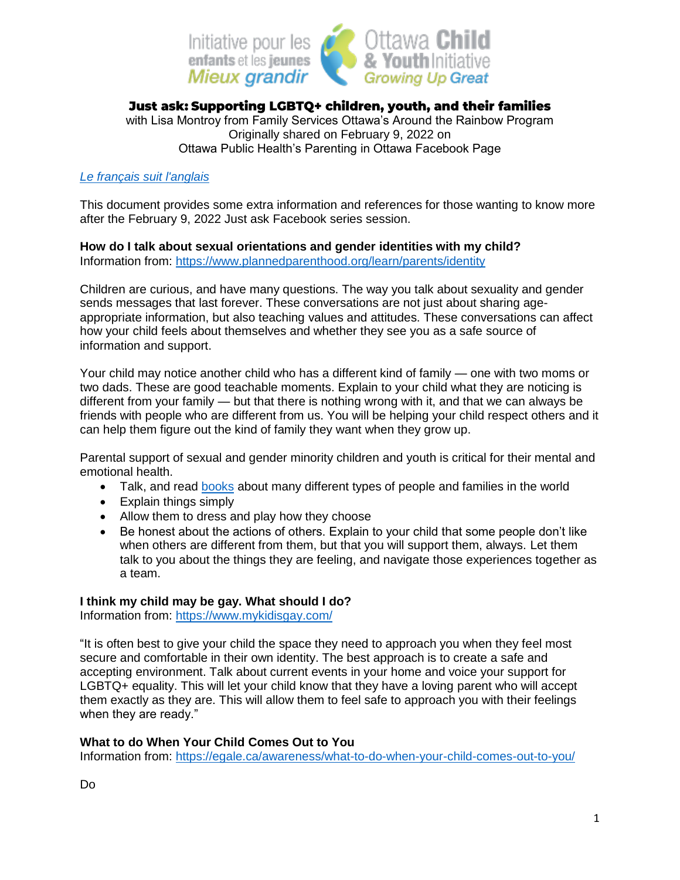

# Just ask: Supporting LGBTQ+ children, youth, and their families

with Lisa Montroy from Family Services Ottawa's Around the Rainbow Program Originally shared on February 9, 2022 on Ottawa Public Health's Parenting in Ottawa Facebook Page

### *[Le français suit l'anglais](#page-3-0)*

This document provides some extra information and references for those wanting to know more after the February 9, 2022 Just ask Facebook series session.

## **How do I talk about sexual orientations and gender identities with my child?**

Information from:<https://www.plannedparenthood.org/learn/parents/identity>

Children are curious, and have many questions. The way you talk about sexuality and gender sends messages that last forever. These conversations are not just about sharing ageappropriate information, but also teaching values and attitudes. These conversations can affect how your child feels about themselves and whether they see you as a safe source of information and support.

Your child may notice another child who has a different kind of family — one with two moms or two dads. These are good teachable moments. Explain to your child what they are noticing is different from your family — but that there is nothing wrong with it, and that we can always be friends with people who are different from us. You will be helping your child respect others and it can help them figure out the kind of family they want when they grow up.

Parental support of sexual and gender minority children and youth is critical for their mental and emotional health.

- Talk, and read [books](https://welcomingschools.org/resources/childrens-books-lgbtq-inclusive) about many different types of people and families in the world
- Explain things simply
- Allow them to dress and play how they choose
- Be honest about the actions of others. Explain to your child that some people don't like when others are different from them, but that you will support them, always. Let them talk to you about the things they are feeling, and navigate those experiences together as a team.

### **I think my child may be gay. What should I do?**

Information from:<https://www.mykidisgay.com/>

"It is often best to give your child the space they need to approach you when they feel most secure and comfortable in their own identity. The best approach is to create a safe and accepting environment. Talk about current events in your home and voice your support for LGBTQ+ equality. This will let your child know that they have a loving parent who will accept them exactly as they are. This will allow them to feel safe to approach you with their feelings when they are ready."

### **What to do When Your Child Comes Out to You**

Information from:<https://egale.ca/awareness/what-to-do-when-your-child-comes-out-to-you/>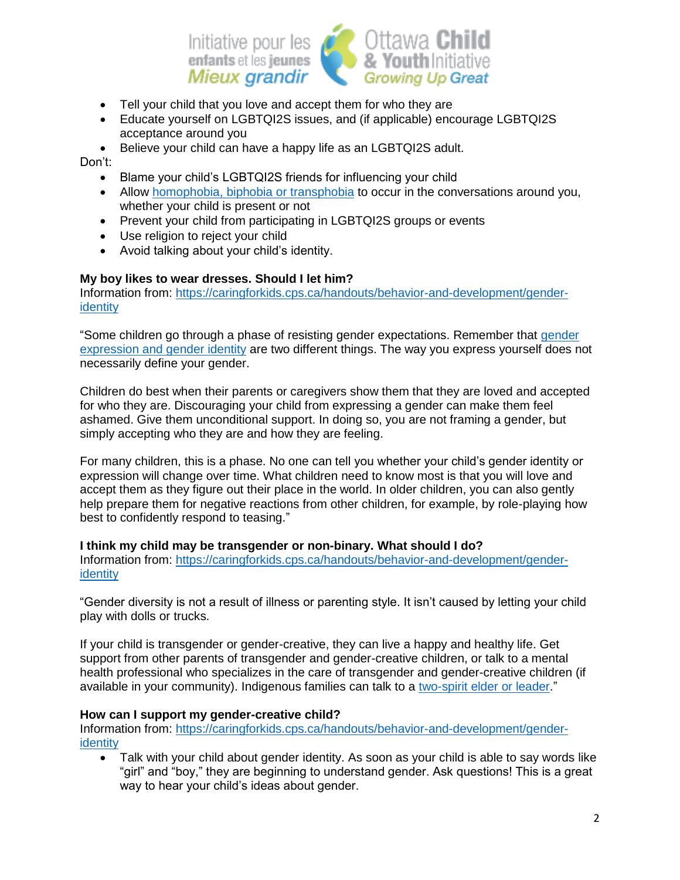

- Tell your child that you love and accept them for who they are
- Educate yourself on LGBTQI2S issues, and (if applicable) encourage LGBTQI2S acceptance around you
- Believe your child can have a happy life as an LGBTQI2S adult.

Don't:

- Blame your child's LGBTQI2S friends for influencing your child
- Allow [homophobia, biphobia or transphobia](https://www.unfe.org/definitions) to occur in the conversations around you, whether your child is present or not
- Prevent your child from participating in LGBTQI2S groups or events
- Use religion to reject your child
- Avoid talking about your child's identity.

#### **My boy likes to wear dresses. Should I let him?**

Information from: [https://caringforkids.cps.ca/handouts/behavior-and-development/gender](https://caringforkids.cps.ca/handouts/behavior-and-development/gender-identity)[identity](https://caringforkids.cps.ca/handouts/behavior-and-development/gender-identity)

"Some children go through a phase of resisting [gender](https://caringforkids.cps.ca/handouts/behavior-and-development/gender-identity) expectations. Remember that gender [expression and gender identity](https://caringforkids.cps.ca/handouts/behavior-and-development/gender-identity) are two different things. The way you express yourself does not necessarily define your gender.

Children do best when their parents or caregivers show them that they are loved and accepted for who they are. Discouraging your child from expressing a gender can make them feel ashamed. Give them unconditional support. In doing so, you are not framing a gender, but simply accepting who they are and how they are feeling.

For many children, this is a phase. No one can tell you whether your child's gender identity or expression will change over time. What children need to know most is that you will love and accept them as they figure out their place in the world. In older children, you can also gently help prepare them for negative reactions from other children, for example, by role-playing how best to confidently respond to teasing."

#### **I think my child may be transgender or non-binary. What should I do?**

Information from: [https://caringforkids.cps.ca/handouts/behavior-and-development/gender](https://caringforkids.cps.ca/handouts/behavior-and-development/gender-identity)[identity](https://caringforkids.cps.ca/handouts/behavior-and-development/gender-identity)

"Gender diversity is not a result of illness or parenting style. It isn't caused by letting your child play with dolls or trucks.

If your child is transgender or gender-creative, they can live a happy and healthy life. Get support from other parents of transgender and gender-creative children, or talk to a mental health professional who specializes in the care of transgender and gender-creative children (if available in your community). Indigenous families can talk to a [two-spirit elder or leader.](https://d3n8a8pro7vhmx.cloudfront.net/acc/pages/678/attachments/original/1594853387/Two_Spirit.pdf?1594853387)"

#### **How can I support my gender-creative child?**

Information from: [https://caringforkids.cps.ca/handouts/behavior-and-development/gender](https://caringforkids.cps.ca/handouts/behavior-and-development/gender-identity)[identity](https://caringforkids.cps.ca/handouts/behavior-and-development/gender-identity)

 Talk with your child about gender identity. As soon as your child is able to say words like "girl" and "boy," they are beginning to understand gender. Ask questions! This is a great way to hear your child's ideas about gender.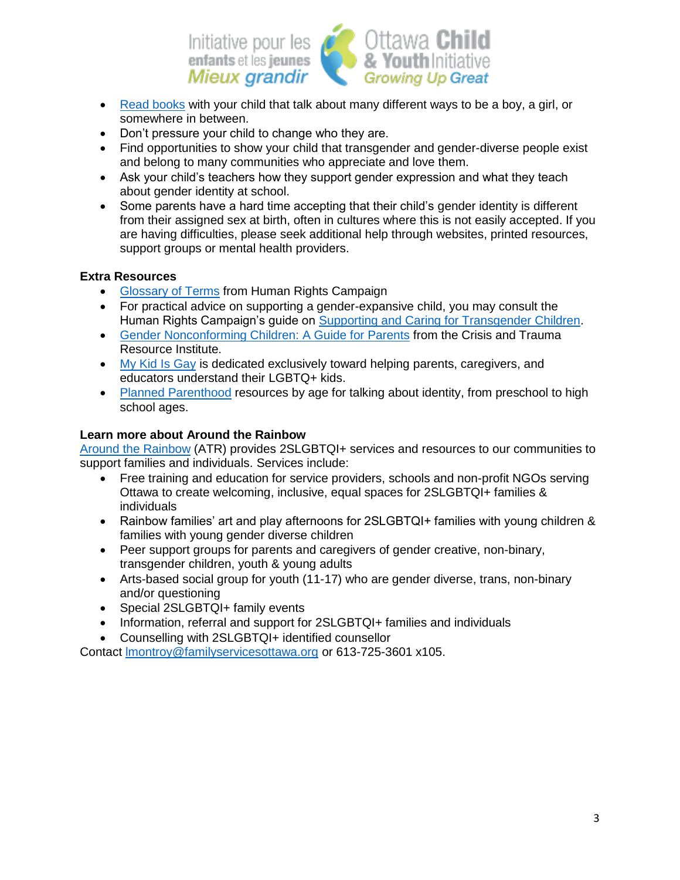

- [Read books](https://welcomingschools.org/resources/childrens-books-transgender-non-binary) with your child that talk about many different ways to be a boy, a girl, or somewhere in between.
- Don't pressure your child to change who they are.
- Find opportunities to show your child that transgender and gender-diverse people exist and belong to many communities who appreciate and love them.
- Ask your child's teachers how they support gender expression and what they teach about gender identity at school.
- Some parents have a hard time accepting that their child's gender identity is different from their assigned sex at birth, often in cultures where this is not easily accepted. If you are having difficulties, please seek additional help through websites, printed resources, support groups or mental health providers.

### **Extra Resources**

- [Glossary of Terms](https://www.hrc.org/resources/glossary-of-terms) from Human Rights Campaign
- For practical advice on supporting a gender-expansive child, you may consult the Human Rights Campaign's guide on [Supporting and Caring for Transgender Children.](https://hrc-prod-requests.s3-us-west-2.amazonaws.com/files/documents/SupportingCaringforTransChildren.pdf?mtime=20200713125239&focal=none)
- [Gender Nonconforming Children: A Guide for Parents](https://ckphu.com/wp-content/uploads/2020/01/Gender-Nonconforming-Children-A-Guide-For-Parents.pdf) from the Crisis and Trauma Resource Institute.
- [My Kid Is Gay](https://www.mykidisgay.com/) is dedicated exclusively toward helping parents, caregivers, and educators understand their LGBTQ+ kids.
- [Planned Parenthood](https://www.plannedparenthood.org/learn/parents/identity) resources by age for talking about identity, from preschool to high school ages.

### **Learn more about Around the Rainbow**

[Around the Rainbow](https://familyservicesottawa.org/children-youth-and-families/around-the-rainbow/) (ATR) provides 2SLGBTQI+ services and resources to our communities to support families and individuals. Services include:

- Free training and education for service providers, schools and non-profit NGOs serving Ottawa to create welcoming, inclusive, equal spaces for 2SLGBTQI+ families & individuals
- Rainbow families' art and play afternoons for 2SLGBTQI+ families with young children & families with young gender diverse children
- Peer support groups for parents and caregivers of gender creative, non-binary, transgender children, youth & young adults
- Arts-based social group for youth (11-17) who are gender diverse, trans, non-binary and/or questioning
- Special 2SLGBTQI+ family events
- Information, referral and support for 2SLGBTQI+ families and individuals
- Counselling with 2SLGBTQI+ identified counsellor

Contact [lmontroy@familyservicesottawa.org](mailto:lmontroy@familyservicesottawa.org) or 613-725-3601 x105.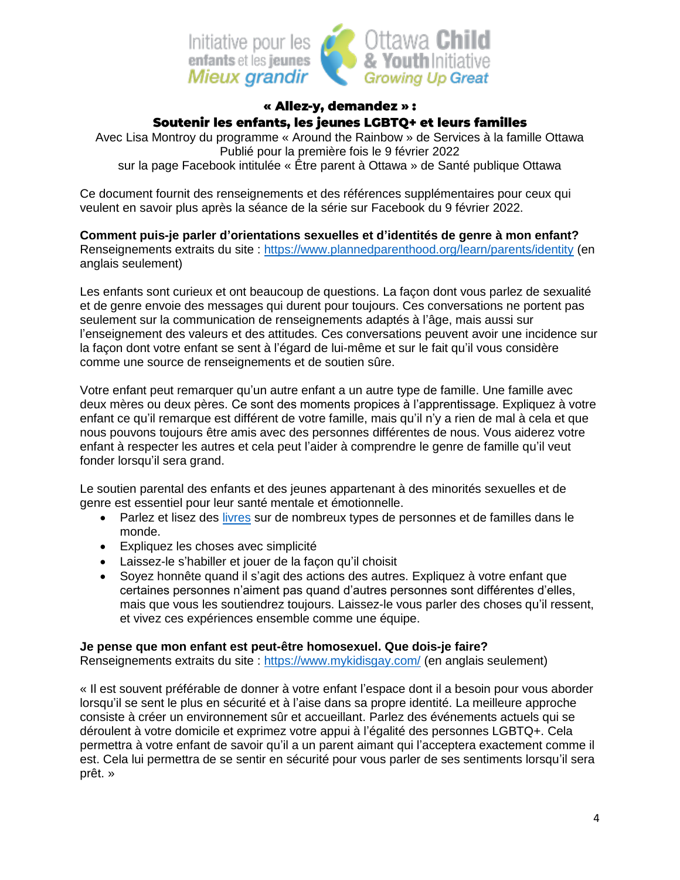

# « Allez-y, demandez »: Soutenir les enfants, les jeunes LGBTQ+ et leurs familles

<span id="page-3-0"></span>Avec Lisa Montroy du programme « Around the Rainbow » de Services à la famille Ottawa Publié pour la première fois le 9 février 2022 sur la page Facebook intitulée « Être parent à Ottawa » de Santé publique Ottawa

Ce document fournit des renseignements et des références supplémentaires pour ceux qui veulent en savoir plus après la séance de la série sur Facebook du 9 février 2022.

**Comment puis-je parler d'orientations sexuelles et d'identités de genre à mon enfant?** Renseignements extraits du site :<https://www.plannedparenthood.org/learn/parents/identity> (en anglais seulement)

Les enfants sont curieux et ont beaucoup de questions. La façon dont vous parlez de sexualité et de genre envoie des messages qui durent pour toujours. Ces conversations ne portent pas seulement sur la communication de renseignements adaptés à l'âge, mais aussi sur l'enseignement des valeurs et des attitudes. Ces conversations peuvent avoir une incidence sur la façon dont votre enfant se sent à l'égard de lui-même et sur le fait qu'il vous considère comme une source de renseignements et de soutien sûre.

Votre enfant peut remarquer qu'un autre enfant a un autre type de famille. Une famille avec deux mères ou deux pères. Ce sont des moments propices à l'apprentissage. Expliquez à votre enfant ce qu'il remarque est différent de votre famille, mais qu'il n'y a rien de mal à cela et que nous pouvons toujours être amis avec des personnes différentes de nous. Vous aiderez votre enfant à respecter les autres et cela peut l'aider à comprendre le genre de famille qu'il veut fonder lorsqu'il sera grand.

Le soutien parental des enfants et des jeunes appartenant à des minorités sexuelles et de genre est essentiel pour leur santé mentale et émotionnelle.

- Parlez et lisez des [livres](http://enfantstransgenres.ca/ressources/) sur de nombreux types de personnes et de familles dans le monde.
- Expliquez les choses avec simplicité
- Laissez-le s'habiller et jouer de la façon qu'il choisit
- Soyez honnête quand il s'agit des actions des autres. Expliquez à votre enfant que certaines personnes n'aiment pas quand d'autres personnes sont différentes d'elles, mais que vous les soutiendrez toujours. Laissez-le vous parler des choses qu'il ressent, et vivez ces expériences ensemble comme une équipe.

### **Je pense que mon enfant est peut-être homosexuel. Que dois-je faire?**

Renseignements extraits du site :<https://www.mykidisgay.com/> (en anglais seulement)

« Il est souvent préférable de donner à votre enfant l'espace dont il a besoin pour vous aborder lorsqu'il se sent le plus en sécurité et à l'aise dans sa propre identité. La meilleure approche consiste à créer un environnement sûr et accueillant. Parlez des événements actuels qui se déroulent à votre domicile et exprimez votre appui à l'égalité des personnes LGBTQ+. Cela permettra à votre enfant de savoir qu'il a un parent aimant qui l'acceptera exactement comme il est. Cela lui permettra de se sentir en sécurité pour vous parler de ses sentiments lorsqu'il sera prêt. »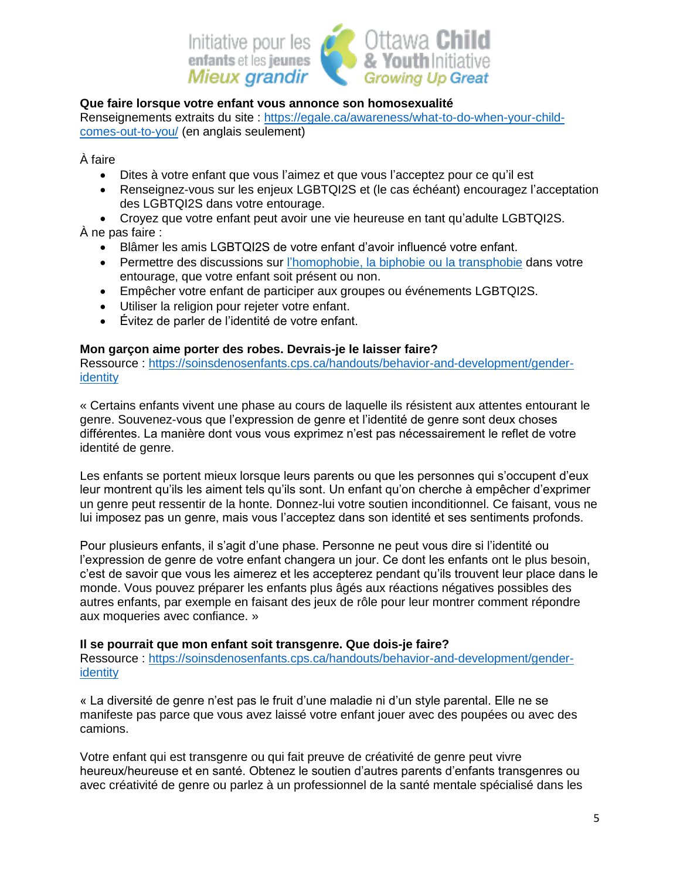

#### **Que faire lorsque votre enfant vous annonce son homosexualité**

Renseignements extraits du site : [https://egale.ca/awareness/what-to-do-when-your-child](https://egale.ca/awareness/what-to-do-when-your-child-comes-out-to-you/)[comes-out-to-you/](https://egale.ca/awareness/what-to-do-when-your-child-comes-out-to-you/) (en anglais seulement)

À faire

- Dites à votre enfant que vous l'aimez et que vous l'acceptez pour ce qu'il est
- Renseignez-vous sur les enjeux LGBTQI2S et (le cas échéant) encouragez l'acceptation des LGBTQI2S dans votre entourage.
- Croyez que votre enfant peut avoir une vie heureuse en tant qu'adulte LGBTQI2S. À ne pas faire :
	- Blâmer les amis LGBTQI2S de votre enfant d'avoir influencé votre enfant.
	- Permettre des discussions sur [l'homophobie, la biphobie ou la transphobie](https://www.unfe.org/fr/definitions/) dans votre entourage, que votre enfant soit présent ou non.
	- Empêcher votre enfant de participer aux groupes ou événements LGBTQI2S.
	- Utiliser la religion pour rejeter votre enfant.
	- Évitez de parler de l'identité de votre enfant.

#### **Mon garçon aime porter des robes. Devrais-je le laisser faire?**

Ressource : [https://soinsdenosenfants.cps.ca/handouts/behavior-and-development/gender](https://soinsdenosenfants.cps.ca/handouts/behavior-and-development/gender-identity)[identity](https://soinsdenosenfants.cps.ca/handouts/behavior-and-development/gender-identity)

« Certains enfants vivent une phase au cours de laquelle ils résistent aux attentes entourant le genre. Souvenez-vous que l'expression de genre et l'identité de genre sont deux choses différentes. La manière dont vous vous exprimez n'est pas nécessairement le reflet de votre identité de genre.

Les enfants se portent mieux lorsque leurs parents ou que les personnes qui s'occupent d'eux leur montrent qu'ils les aiment tels qu'ils sont. Un enfant qu'on cherche à empêcher d'exprimer un genre peut ressentir de la honte. Donnez-lui votre soutien inconditionnel. Ce faisant, vous ne lui imposez pas un genre, mais vous l'acceptez dans son identité et ses sentiments profonds.

Pour plusieurs enfants, il s'agit d'une phase. Personne ne peut vous dire si l'identité ou l'expression de genre de votre enfant changera un jour. Ce dont les enfants ont le plus besoin, c'est de savoir que vous les aimerez et les accepterez pendant qu'ils trouvent leur place dans le monde. Vous pouvez préparer les enfants plus âgés aux réactions négatives possibles des autres enfants, par exemple en faisant des jeux de rôle pour leur montrer comment répondre aux moqueries avec confiance. »

#### **Il se pourrait que mon enfant soit transgenre. Que dois-je faire?**

Ressource : [https://soinsdenosenfants.cps.ca/handouts/behavior-and-development/gender](https://soinsdenosenfants.cps.ca/handouts/behavior-and-development/gender-identity)**[identity](https://soinsdenosenfants.cps.ca/handouts/behavior-and-development/gender-identity)** 

« La diversité de genre n'est pas le fruit d'une maladie ni d'un style parental. Elle ne se manifeste pas parce que vous avez laissé votre enfant jouer avec des poupées ou avec des camions.

Votre enfant qui est transgenre ou qui fait preuve de créativité de genre peut vivre heureux/heureuse et en santé. Obtenez le soutien d'autres parents d'enfants transgenres ou avec créativité de genre ou parlez à un professionnel de la santé mentale spécialisé dans les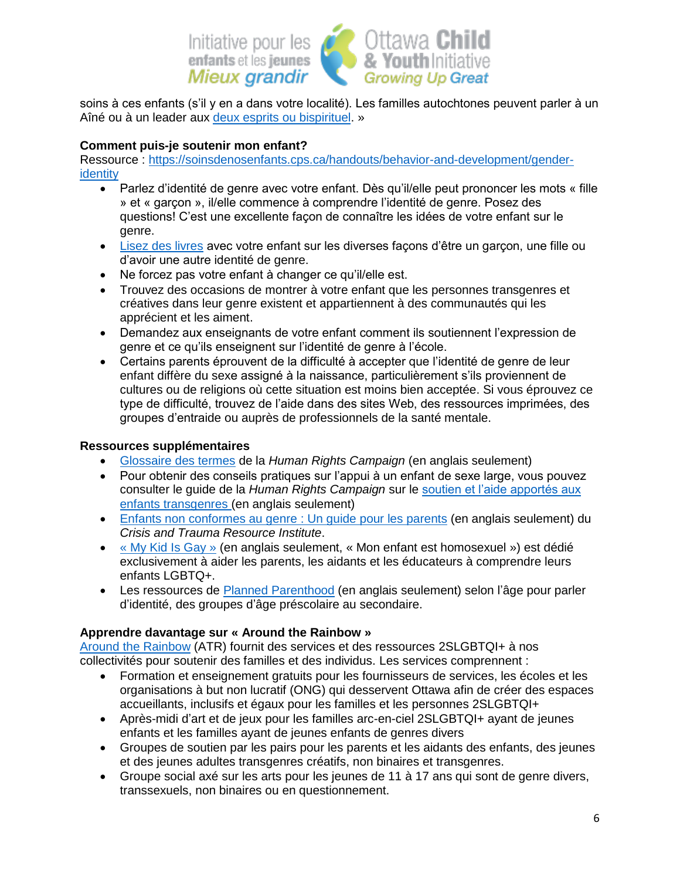

soins à ces enfants (s'il y en a dans votre localité). Les familles autochtones peuvent parler à un Aîné ou à un leader aux [deux esprits ou bispirituel.](https://d3n8a8pro7vhmx.cloudfront.net/acc/pages/678/attachments/original/1594853387/Two_Spirit.pdf?1594853387) »

### **Comment puis-je soutenir mon enfant?**

Ressource : [https://soinsdenosenfants.cps.ca/handouts/behavior-and-development/gender](https://soinsdenosenfants.cps.ca/handouts/behavior-and-development/gender-identity)[identity](https://soinsdenosenfants.cps.ca/handouts/behavior-and-development/gender-identity)

- Parlez d'identité de genre avec votre enfant. Dès qu'il/elle peut prononcer les mots « fille » et « garçon », il/elle commence à comprendre l'identité de genre. Posez des questions! C'est une excellente façon de connaître les idées de votre enfant sur le genre.
- [Lisez des livres](http://enfantstransgenres.ca/ressources/) avec votre enfant sur les diverses façons d'être un garçon, une fille ou d'avoir une autre identité de genre.
- Ne forcez pas votre enfant à changer ce qu'il/elle est.
- Trouvez des occasions de montrer à votre enfant que les personnes transgenres et créatives dans leur genre existent et appartiennent à des communautés qui les apprécient et les aiment.
- Demandez aux enseignants de votre enfant comment ils soutiennent l'expression de genre et ce qu'ils enseignent sur l'identité de genre à l'école.
- Certains parents éprouvent de la difficulté à accepter que l'identité de genre de leur enfant diffère du sexe assigné à la naissance, particulièrement s'ils proviennent de cultures ou de religions où cette situation est moins bien acceptée. Si vous éprouvez ce type de difficulté, trouvez de l'aide dans des sites Web, des ressources imprimées, des groupes d'entraide ou auprès de professionnels de la santé mentale.

#### **Ressources supplémentaires**

- Glossaire [des termes](https://www.hrc.org/resources/glossary-of-terms) de la *Human Rights Campaign* (en anglais seulement)
- Pour obtenir des conseils pratiques sur l'appui à un enfant de sexe large, vous pouvez consulter le guide de la *Human Rights Campaign* sur le [soutien et l'aide apportés aux](https://hrc-prod-requests.s3-us-west-2.amazonaws.com/files/documents/SupportingCaringforTransChildren.pdf?mtime=20200713125239&focal=none)  [enfants transgenres](https://hrc-prod-requests.s3-us-west-2.amazonaws.com/files/documents/SupportingCaringforTransChildren.pdf?mtime=20200713125239&focal=none) (en anglais seulement)
- [Enfants non conformes au genre](https://ckphu.com/wp-content/uploads/2020/01/Gender-Nonconforming-Children-A-Guide-For-Parents.pdf) : Un guide pour les parents (en anglais seulement) du *Crisis and Trauma Resource Institute*.
- [« My Kid Is Gay »](https://www.mykidisgay.com/) (en anglais seulement, « Mon enfant est homosexuel ») est dédié exclusivement à aider les parents, les aidants et les éducateurs à comprendre leurs enfants LGBTQ+.
- Les ressources de [Planned Parenthood](https://www.plannedparenthood.org/learn/parents/identity) (en anglais seulement) selon l'âge pour parler d'identité, des groupes d'âge préscolaire au secondaire.

### **Apprendre davantage sur « Around the Rainbow »**

[Around the Rainbow](https://familyservicesottawa.org/children-youth-and-families/around-the-rainbow/) (ATR) fournit des services et des ressources 2SLGBTQI+ à nos collectivités pour soutenir des familles et des individus. Les services comprennent :

- Formation et enseignement gratuits pour les fournisseurs de services, les écoles et les organisations à but non lucratif (ONG) qui desservent Ottawa afin de créer des espaces accueillants, inclusifs et égaux pour les familles et les personnes 2SLGBTQI+
- Après-midi d'art et de jeux pour les familles arc-en-ciel 2SLGBTQI+ ayant de jeunes enfants et les familles ayant de jeunes enfants de genres divers
- Groupes de soutien par les pairs pour les parents et les aidants des enfants, des jeunes et des jeunes adultes transgenres créatifs, non binaires et transgenres.
- Groupe social axé sur les arts pour les jeunes de 11 à 17 ans qui sont de genre divers, transsexuels, non binaires ou en questionnement.